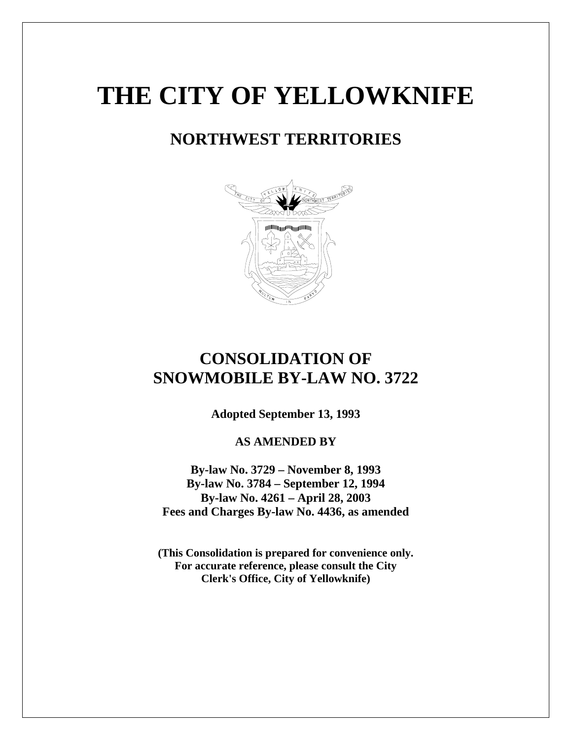# **THE CITY OF YELLOWKNIFE**

# **NORTHWEST TERRITORIES**



# **CONSOLIDATION OF SNOWMOBILE BY-LAW NO. 3722**

**Adopted September 13, 1993** 

**AS AMENDED BY** 

**By-law No. 3729 – November 8, 1993 By-law No. 3784 – September 12, 1994 By-law No. 4261 – April 28, 2003 Fees and Charges By-law No. 4436, as amended** 

**(This Consolidation is prepared for convenience only. For accurate reference, please consult the City Clerk's Office, City of Yellowknife)**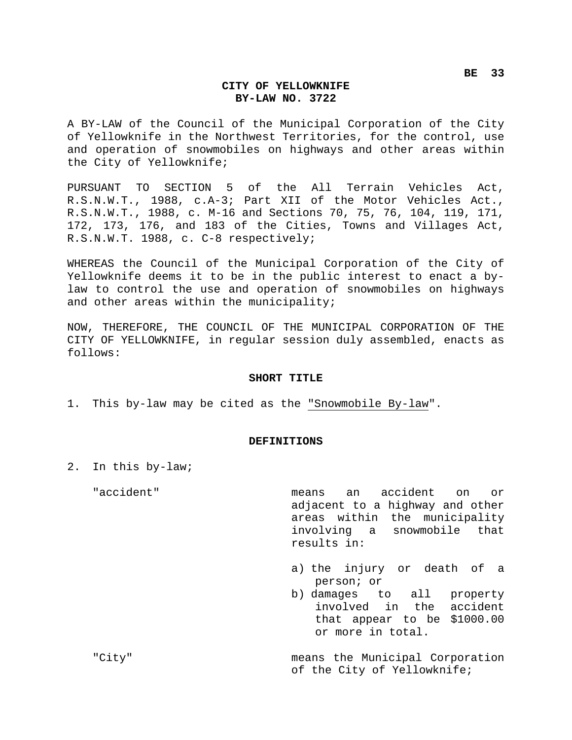#### **CITY OF YELLOWKNIFE BY-LAW NO. 3722**

A BY-LAW of the Council of the Municipal Corporation of the City of Yellowknife in the Northwest Territories, for the control, use and operation of snowmobiles on highways and other areas within the City of Yellowknife;

PURSUANT TO SECTION 5 of the All Terrain Vehicles Act, R.S.N.W.T., 1988, c.A-3; Part XII of the Motor Vehicles Act., R.S.N.W.T., 1988, c. M-16 and Sections 70, 75, 76, 104, 119, 171, 172, 173, 176, and 183 of the Cities, Towns and Villages Act, R.S.N.W.T. 1988, c. C-8 respectively;

WHEREAS the Council of the Municipal Corporation of the City of Yellowknife deems it to be in the public interest to enact a bylaw to control the use and operation of snowmobiles on highways and other areas within the municipality;

NOW, THEREFORE, THE COUNCIL OF THE MUNICIPAL CORPORATION OF THE CITY OF YELLOWKNIFE, in regular session duly assembled, enacts as follows:

#### **SHORT TITLE**

1. This by-law may be cited as the "Snowmobile By-law".

#### **DEFINITIONS**

2. In this by-law;

"accident" means an accident on or adjacent to a highway and other areas within the municipality involving a snowmobile that results in:

- a) the injury or death of a person; or
- b) damages to all property involved in the accident that appear to be \$1000.00 or more in total.

"City" means the Municipal Corporation of the City of Yellowknife;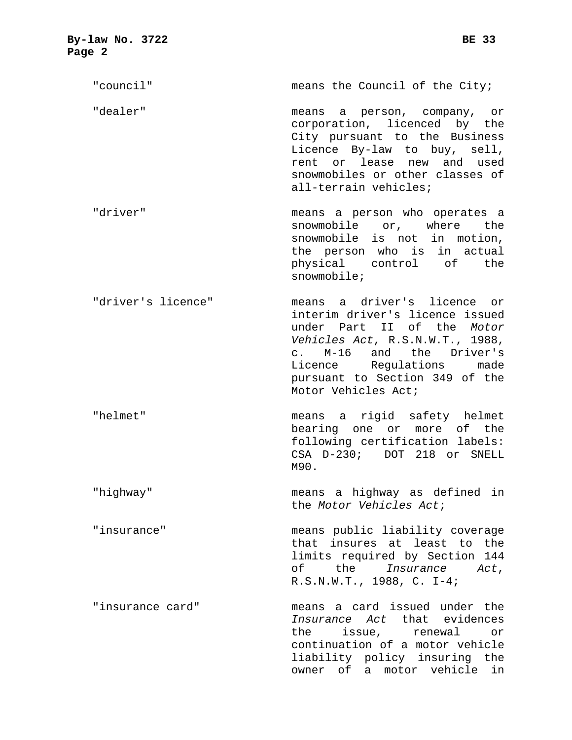| By-law No. 3722<br>Page 2 | <b>BE 33</b>                                                                                                                                                                                                                                     |  |  |
|---------------------------|--------------------------------------------------------------------------------------------------------------------------------------------------------------------------------------------------------------------------------------------------|--|--|
| "council"                 | means the Council of the City;                                                                                                                                                                                                                   |  |  |
| "dealer"                  | means a person, company, or<br>corporation, licenced by the<br>City pursuant to the Business<br>Licence By-law to buy, sell,<br>or lease<br>new and used<br>rent<br>snowmobiles or other classes of<br>all-terrain vehicles;                     |  |  |
| "driver"                  | means a person who operates a<br>snowmobile or, where the<br>snowmobile is not in motion,<br>the person who is in actual<br>physical control of the<br>snowmobile;                                                                               |  |  |
| "driver's licence"        | means a driver's licence or<br>interim driver's licence issued<br>under Part II of the Motor<br>Vehicles Act, R.S.N.W.T., 1988,<br>c. M-16 and the Driver's<br>Licence Regulations made<br>pursuant to Section 349 of the<br>Motor Vehicles Act; |  |  |
| "helmet"                  | means a rigid safety helmet<br>bearing one or more of the<br>following certification labels:<br>$CSA$ $D-230i$<br>DOT 218 or SNELL<br>M90.                                                                                                       |  |  |
| "highway"                 | means a highway as defined in<br>the Motor Vehicles Act;                                                                                                                                                                                         |  |  |
| "insurance"               | means public liability coverage<br>that insures at least to the<br>limits required by Section 144<br>of the Insurance Act,<br>R.S.N.W.T., 1988, C. I-4;                                                                                          |  |  |
| "insurance card"          | means a card issued under the<br>Insurance Act that evidences<br>issue, renewal<br>the<br>or<br>continuation of a motor vehicle<br>liability policy insuring the<br>owner of a motor vehicle in                                                  |  |  |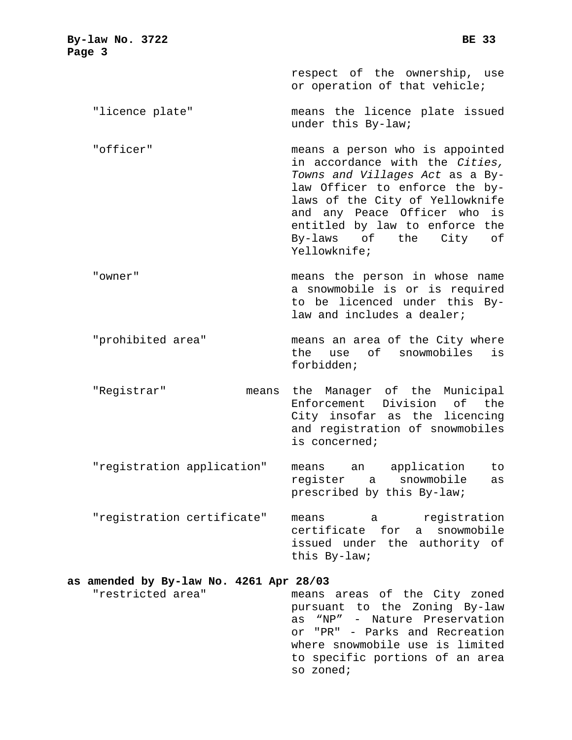| By-law No. 3722<br>Page 3 | <b>BE 33</b>                                                                                                                                                              |
|---------------------------|---------------------------------------------------------------------------------------------------------------------------------------------------------------------------|
|                           | respect of the ownership, use<br>or operation of that vehicle;                                                                                                            |
| "licence plate"           | means the licence plate issued<br>under this By-law;                                                                                                                      |
| "officer"                 | means a person who is appointed<br>in accordance with the Cities,<br>Towns and Villages Act as a By-<br>law Officer to enforce the by-<br>laws of the City of Yellowknife |

"owner" means the person in whose name a snowmobile is or is required to be licenced under this Bylaw and includes a dealer;

Yellowknife;

- "prohibited area" means an area of the City where the use of snowmobiles is forbidden;
- "Registrar" means the Manager of the Municipal Enforcement Division of the City insofar as the licencing and registration of snowmobiles is concerned;
- "registration application" means an application to register a snowmobile as prescribed by this By-law;
- "registration certificate" means a registration certificate for a snowmobile issued under the authority of this By-law;

# **as amended by By-law No. 4261 Apr 28/03**

"restricted area" means areas of the City zoned pursuant to the Zoning By-law as "NP" - Nature Preservation or "PR" - Parks and Recreation where snowmobile use is limited to specific portions of an area so zoned;

and any Peace Officer who is entitled by law to enforce the By-laws of the City of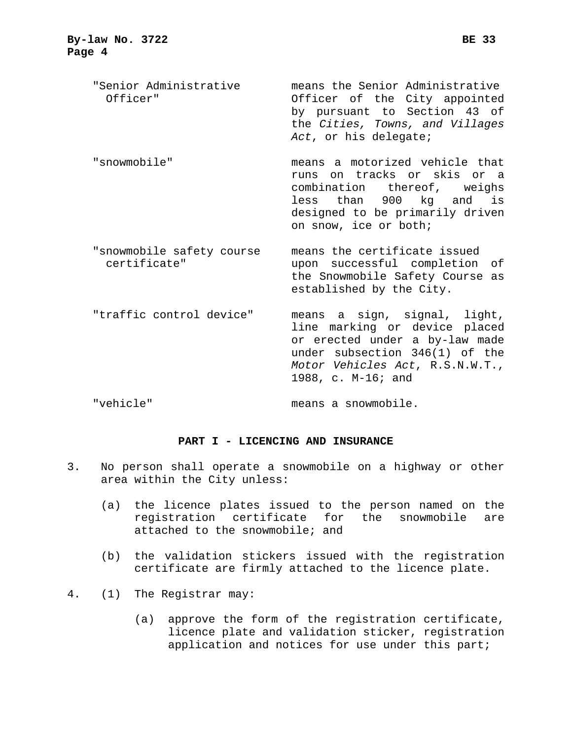- "Senior Administrative means the Senior Administrative Officer" Officer of the City appointed by pursuant to Section 43 of the *Cities, Towns, and Villages Act*, or his delegate;
- "snowmobile" means a motorized vehicle that runs on tracks or skis or a combination thereof, weighs less than 900 kg and is designed to be primarily driven on snow, ice or both;
- "snowmobile safety course means the certificate issued certificate" upon successful completion of the Snowmobile Safety Course as established by the City.
- "traffic control device" means a sign, signal, light, line marking or device placed or erected under a by-law made under subsection 346(1) of the *Motor Vehicles Act*, R.S.N.W.T., 1988, c. M-16; and

"vehicle" means a snowmobile.

#### **PART I - LICENCING AND INSURANCE**

- 3. No person shall operate a snowmobile on a highway or other area within the City unless:
	- (a) the licence plates issued to the person named on the registration certificate for the snowmobile are attached to the snowmobile; and
	- (b) the validation stickers issued with the registration certificate are firmly attached to the licence plate.
- 4. (1) The Registrar may:
	- (a) approve the form of the registration certificate, licence plate and validation sticker, registration application and notices for use under this part;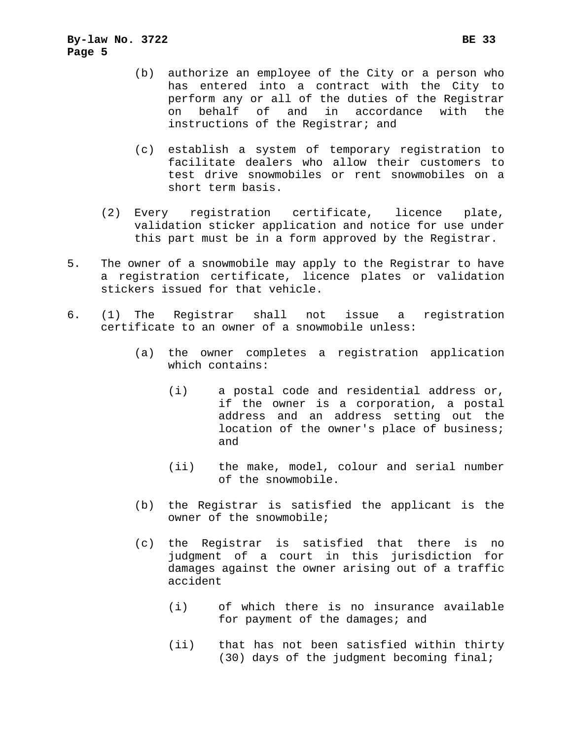- (b) authorize an employee of the City or a person who has entered into a contract with the City to perform any or all of the duties of the Registrar on behalf of and in accordance with the instructions of the Registrar; and
- (c) establish a system of temporary registration to facilitate dealers who allow their customers to test drive snowmobiles or rent snowmobiles on a short term basis.
- (2) Every registration certificate, licence plate, validation sticker application and notice for use under this part must be in a form approved by the Registrar.
- 5. The owner of a snowmobile may apply to the Registrar to have a registration certificate, licence plates or validation stickers issued for that vehicle.
- 6. (1) The Registrar shall not issue a registration certificate to an owner of a snowmobile unless:
	- (a) the owner completes a registration application which contains:
		- (i) a postal code and residential address or, if the owner is a corporation, a postal address and an address setting out the location of the owner's place of business; and
		- (ii) the make, model, colour and serial number of the snowmobile.
	- (b) the Registrar is satisfied the applicant is the owner of the snowmobile;
	- (c) the Registrar is satisfied that there is no judgment of a court in this jurisdiction for damages against the owner arising out of a traffic accident
		- (i) of which there is no insurance available for payment of the damages; and
		- (ii) that has not been satisfied within thirty (30) days of the judgment becoming final;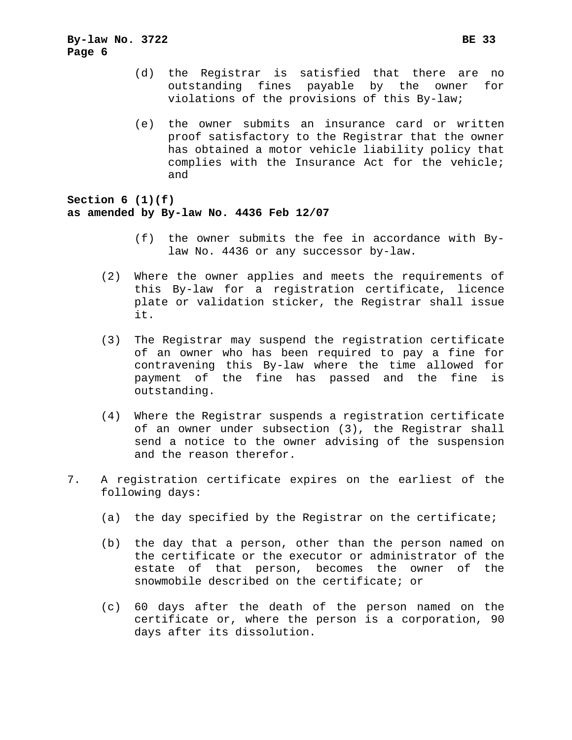- (d) the Registrar is satisfied that there are no outstanding fines payable by the owner for violations of the provisions of this By-law;
- (e) the owner submits an insurance card or written proof satisfactory to the Registrar that the owner has obtained a motor vehicle liability policy that complies with the Insurance Act for the vehicle; and

**Section 6 (1)(f) as amended by By-law No. 4436 Feb 12/07**

- (f) the owner submits the fee in accordance with Bylaw No. 4436 or any successor by-law.
- (2) Where the owner applies and meets the requirements of this By-law for a registration certificate, licence plate or validation sticker, the Registrar shall issue it.
- (3) The Registrar may suspend the registration certificate of an owner who has been required to pay a fine for contravening this By-law where the time allowed for payment of the fine has passed and the fine is outstanding.
- (4) Where the Registrar suspends a registration certificate of an owner under subsection (3), the Registrar shall send a notice to the owner advising of the suspension and the reason therefor.
- 7. A registration certificate expires on the earliest of the following days:
	- (a) the day specified by the Registrar on the certificate;
	- (b) the day that a person, other than the person named on the certificate or the executor or administrator of the estate of that person, becomes the owner of the snowmobile described on the certificate; or
	- (c) 60 days after the death of the person named on the certificate or, where the person is a corporation, 90 days after its dissolution.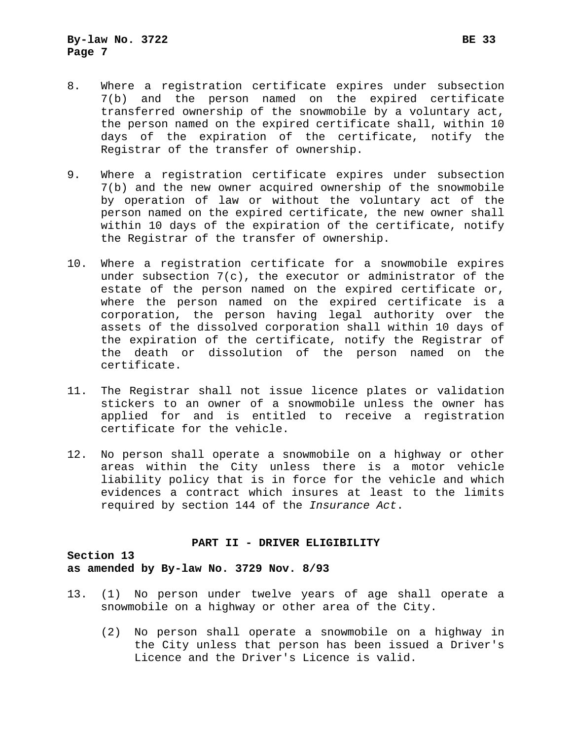- 8. Where a registration certificate expires under subsection 7(b) and the person named on the expired certificate transferred ownership of the snowmobile by a voluntary act, the person named on the expired certificate shall, within 10 days of the expiration of the certificate, notify the Registrar of the transfer of ownership.
- 9. Where a registration certificate expires under subsection 7(b) and the new owner acquired ownership of the snowmobile by operation of law or without the voluntary act of the person named on the expired certificate, the new owner shall within 10 days of the expiration of the certificate, notify the Registrar of the transfer of ownership.
- 10. Where a registration certificate for a snowmobile expires under subsection 7(c), the executor or administrator of the estate of the person named on the expired certificate or, where the person named on the expired certificate is a corporation, the person having legal authority over the assets of the dissolved corporation shall within 10 days of the expiration of the certificate, notify the Registrar of the death or dissolution of the person named on the certificate.
- 11. The Registrar shall not issue licence plates or validation stickers to an owner of a snowmobile unless the owner has applied for and is entitled to receive a registration certificate for the vehicle.
- 12. No person shall operate a snowmobile on a highway or other areas within the City unless there is a motor vehicle liability policy that is in force for the vehicle and which evidences a contract which insures at least to the limits required by section 144 of the *Insurance Act*.

#### **PART II - DRIVER ELIGIBILITY**

### **Section 13 as amended by By-law No. 3729 Nov. 8/93**

- 13. (1) No person under twelve years of age shall operate a snowmobile on a highway or other area of the City.
	- (2) No person shall operate a snowmobile on a highway in the City unless that person has been issued a Driver's Licence and the Driver's Licence is valid.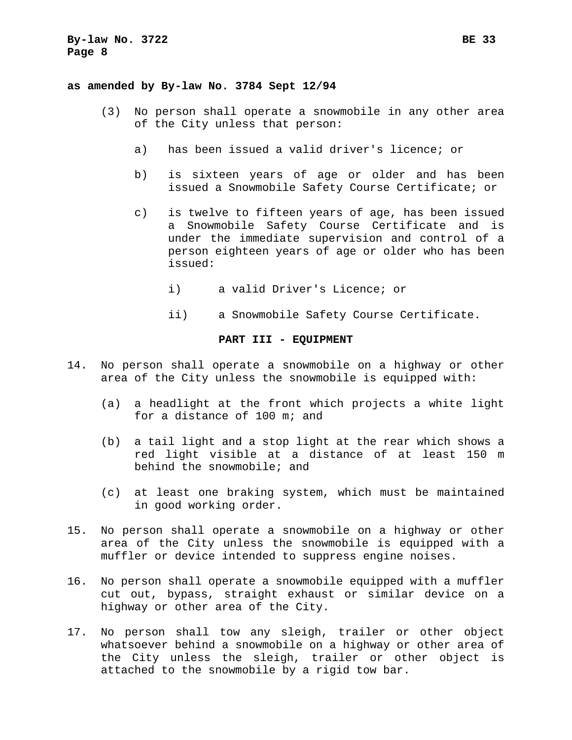#### **as amended by By-law No. 3784 Sept 12/94**

- (3) No person shall operate a snowmobile in any other area of the City unless that person:
	- a) has been issued a valid driver's licence; or
	- b) is sixteen years of age or older and has been issued a Snowmobile Safety Course Certificate; or
	- c) is twelve to fifteen years of age, has been issued a Snowmobile Safety Course Certificate and is under the immediate supervision and control of a person eighteen years of age or older who has been issued:
		- i) a valid Driver's Licence; or
		- ii) a Snowmobile Safety Course Certificate.

#### **PART III - EQUIPMENT**

- 14. No person shall operate a snowmobile on a highway or other area of the City unless the snowmobile is equipped with:
	- (a) a headlight at the front which projects a white light for a distance of 100 m; and
	- (b) a tail light and a stop light at the rear which shows a red light visible at a distance of at least 150 m behind the snowmobile; and
	- (c) at least one braking system, which must be maintained in good working order.
- 15. No person shall operate a snowmobile on a highway or other area of the City unless the snowmobile is equipped with a muffler or device intended to suppress engine noises.
- 16. No person shall operate a snowmobile equipped with a muffler cut out, bypass, straight exhaust or similar device on a highway or other area of the City.
- 17. No person shall tow any sleigh, trailer or other object whatsoever behind a snowmobile on a highway or other area of the City unless the sleigh, trailer or other object is attached to the snowmobile by a rigid tow bar.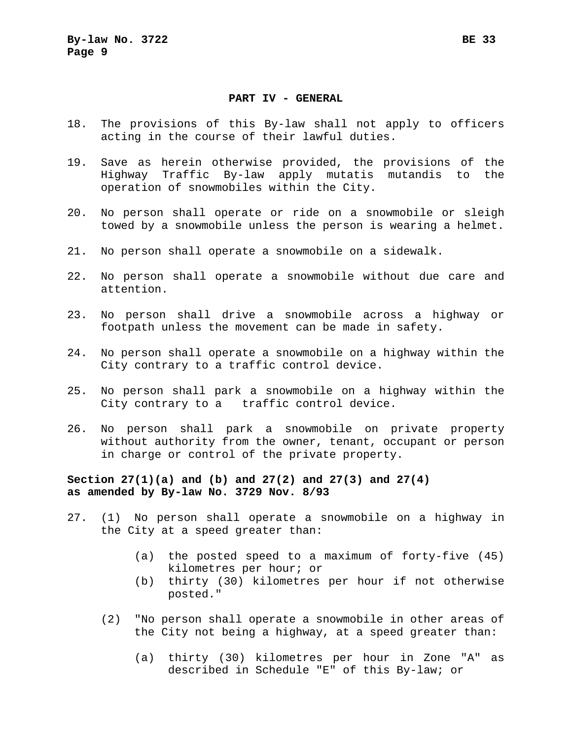#### **PART IV - GENERAL**

- 18. The provisions of this By-law shall not apply to officers acting in the course of their lawful duties.
- 19. Save as herein otherwise provided, the provisions of the Highway Traffic By-law apply mutatis mutandis to the operation of snowmobiles within the City.
- 20. No person shall operate or ride on a snowmobile or sleigh towed by a snowmobile unless the person is wearing a helmet.
- 21. No person shall operate a snowmobile on a sidewalk.
- 22. No person shall operate a snowmobile without due care and attention.
- 23. No person shall drive a snowmobile across a highway or footpath unless the movement can be made in safety.
- 24. No person shall operate a snowmobile on a highway within the City contrary to a traffic control device.
- 25. No person shall park a snowmobile on a highway within the City contrary to a traffic control device.
- 26. No person shall park a snowmobile on private property without authority from the owner, tenant, occupant or person in charge or control of the private property.

**Section 27(1)(a) and (b) and 27(2) and 27(3) and 27(4) as amended by By-law No. 3729 Nov. 8/93** 

- 27. (1) No person shall operate a snowmobile on a highway in the City at a speed greater than:
	- (a) the posted speed to a maximum of forty-five (45) kilometres per hour; or
	- (b) thirty (30) kilometres per hour if not otherwise posted."
	- (2) "No person shall operate a snowmobile in other areas of the City not being a highway, at a speed greater than:
		- (a) thirty (30) kilometres per hour in Zone "A" as described in Schedule "E" of this By-law; or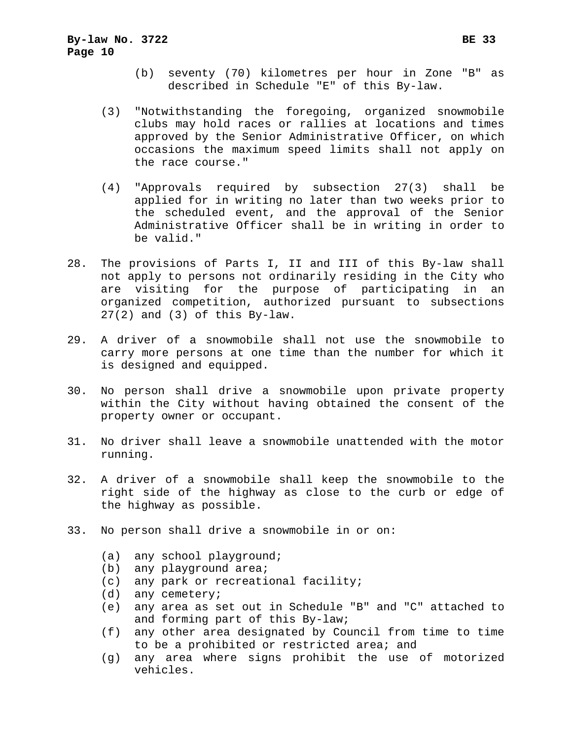- (b) seventy (70) kilometres per hour in Zone "B" as described in Schedule "E" of this By-law.
- (3) "Notwithstanding the foregoing, organized snowmobile clubs may hold races or rallies at locations and times approved by the Senior Administrative Officer, on which occasions the maximum speed limits shall not apply on the race course."
- (4) "Approvals required by subsection 27(3) shall be applied for in writing no later than two weeks prior to the scheduled event, and the approval of the Senior Administrative Officer shall be in writing in order to be valid."
- 28. The provisions of Parts I, II and III of this By-law shall not apply to persons not ordinarily residing in the City who are visiting for the purpose of participating in an organized competition, authorized pursuant to subsections 27(2) and (3) of this By-law.
- 29. A driver of a snowmobile shall not use the snowmobile to carry more persons at one time than the number for which it is designed and equipped.
- 30. No person shall drive a snowmobile upon private property within the City without having obtained the consent of the property owner or occupant.
- 31. No driver shall leave a snowmobile unattended with the motor running.
- 32. A driver of a snowmobile shall keep the snowmobile to the right side of the highway as close to the curb or edge of the highway as possible.
- 33. No person shall drive a snowmobile in or on:
	- (a) any school playground;
	- (b) any playground area;
	- (c) any park or recreational facility;
	- (d) any cemetery;
	- (e) any area as set out in Schedule "B" and "C" attached to and forming part of this By-law;
	- (f) any other area designated by Council from time to time to be a prohibited or restricted area; and
	- (g) any area where signs prohibit the use of motorized vehicles.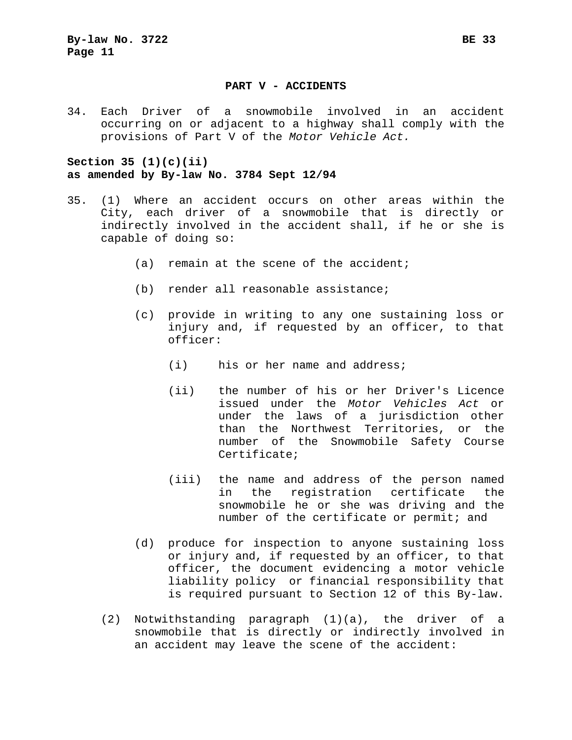#### **PART V - ACCIDENTS**

34. Each Driver of a snowmobile involved in an accident occurring on or adjacent to a highway shall comply with the provisions of Part V of the *Motor Vehicle Act.*

### **Section 35 (1)(c)(ii) as amended by By-law No. 3784 Sept 12/94**

- 35. (1) Where an accident occurs on other areas within the City, each driver of a snowmobile that is directly or indirectly involved in the accident shall, if he or she is capable of doing so:
	- (a) remain at the scene of the accident;
	- (b) render all reasonable assistance;
	- (c) provide in writing to any one sustaining loss or injury and, if requested by an officer, to that officer:
		- (i) his or her name and address;
		- (ii) the number of his or her Driver's Licence issued under the *Motor Vehicles Act* or under the laws of a jurisdiction other than the Northwest Territories, or the number of the Snowmobile Safety Course Certificate;
		- (iii) the name and address of the person named in the registration certificate the snowmobile he or she was driving and the number of the certificate or permit; and
	- (d) produce for inspection to anyone sustaining loss or injury and, if requested by an officer, to that officer, the document evidencing a motor vehicle liability policy or financial responsibility that is required pursuant to Section 12 of this By-law.
	- (2) Notwithstanding paragraph (1)(a), the driver of a snowmobile that is directly or indirectly involved in an accident may leave the scene of the accident: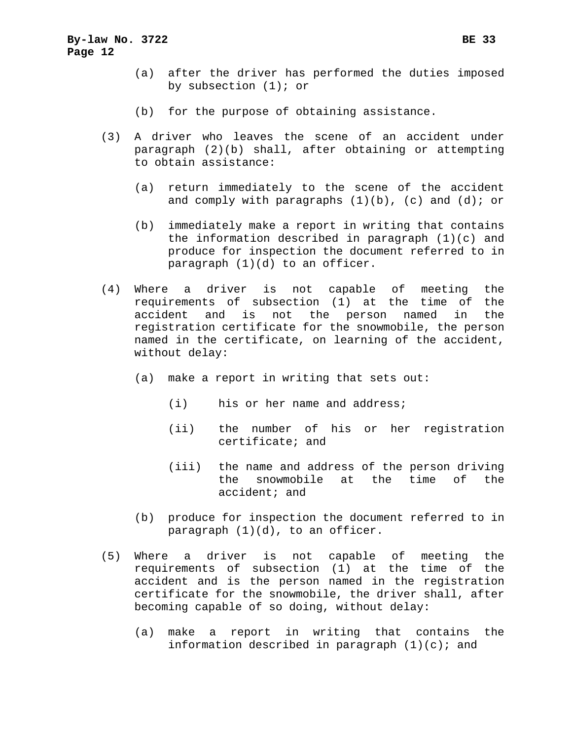- (a) after the driver has performed the duties imposed by subsection (1); or
- (b) for the purpose of obtaining assistance.
- (3) A driver who leaves the scene of an accident under paragraph (2)(b) shall, after obtaining or attempting to obtain assistance:
	- (a) return immediately to the scene of the accident and comply with paragraphs  $(1)(b)$ ,  $(c)$  and  $(d)$ ; or
	- (b) immediately make a report in writing that contains the information described in paragraph (1)(c) and produce for inspection the document referred to in paragraph (1)(d) to an officer.
- (4) Where a driver is not capable of meeting the requirements of subsection (1) at the time of the accident and is not the person named in the registration certificate for the snowmobile, the person named in the certificate, on learning of the accident, without delay:
	- (a) make a report in writing that sets out:
		- (i) his or her name and address;
		- (ii) the number of his or her registration certificate; and
		- (iii) the name and address of the person driving the snowmobile at the time of the accident; and
	- (b) produce for inspection the document referred to in paragraph (1)(d), to an officer.
- (5) Where a driver is not capable of meeting the requirements of subsection (1) at the time of the accident and is the person named in the registration certificate for the snowmobile, the driver shall, after becoming capable of so doing, without delay:
	- (a) make a report in writing that contains the information described in paragraph  $(1)(c)$ ; and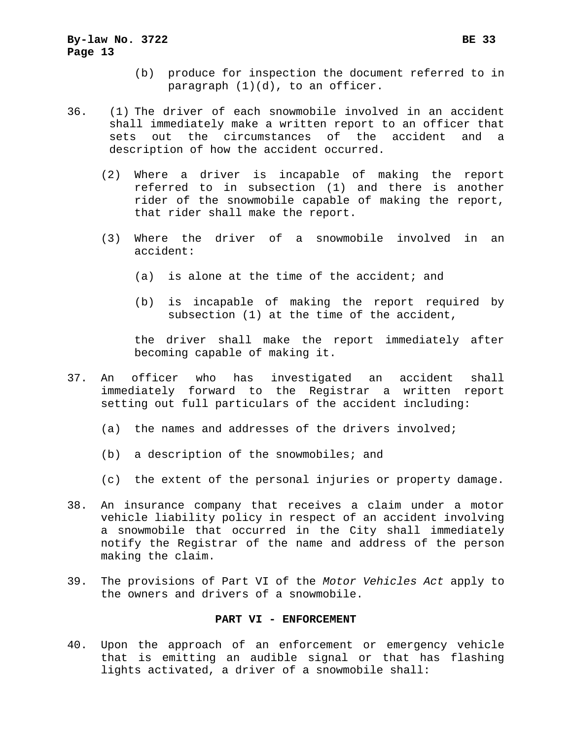- (b) produce for inspection the document referred to in paragraph (1)(d), to an officer.
- 36. (1) The driver of each snowmobile involved in an accident shall immediately make a written report to an officer that sets out the circumstances of the accident and a description of how the accident occurred.
	- (2) Where a driver is incapable of making the report referred to in subsection (1) and there is another rider of the snowmobile capable of making the report, that rider shall make the report.
	- (3) Where the driver of a snowmobile involved in an accident:
		- (a) is alone at the time of the accident; and
		- (b) is incapable of making the report required by subsection (1) at the time of the accident,

the driver shall make the report immediately after becoming capable of making it.

- 37. An officer who has investigated an accident shall immediately forward to the Registrar a written report setting out full particulars of the accident including:
	- (a) the names and addresses of the drivers involved;
	- (b) a description of the snowmobiles; and
	- (c) the extent of the personal injuries or property damage.
- 38. An insurance company that receives a claim under a motor vehicle liability policy in respect of an accident involving a snowmobile that occurred in the City shall immediately notify the Registrar of the name and address of the person making the claim.
- 39. The provisions of Part VI of the *Motor Vehicles Act* apply to the owners and drivers of a snowmobile.

#### **PART VI - ENFORCEMENT**

40. Upon the approach of an enforcement or emergency vehicle that is emitting an audible signal or that has flashing lights activated, a driver of a snowmobile shall: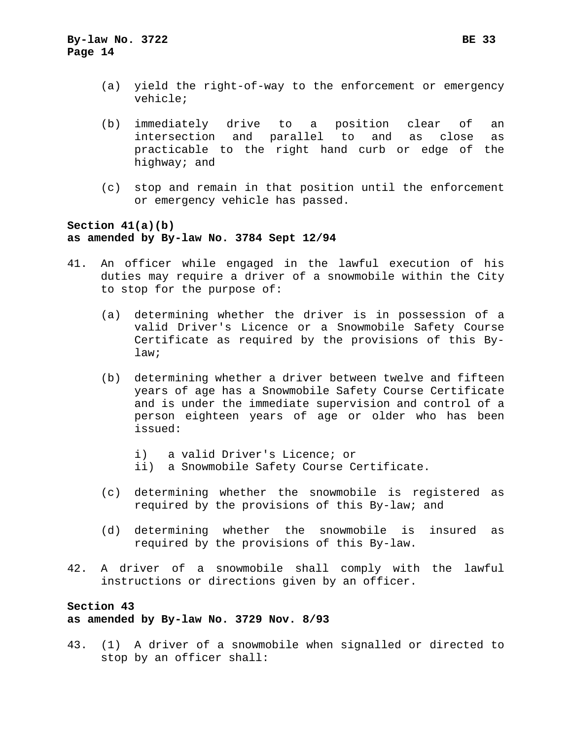- (a) yield the right-of-way to the enforcement or emergency vehicle;
- (b) immediately drive to a position clear of an intersection and parallel to and as close as practicable to the right hand curb or edge of the highway; and
- (c) stop and remain in that position until the enforcement or emergency vehicle has passed.

# **Section 41(a)(b) as amended by By-law No. 3784 Sept 12/94**

- 41. An officer while engaged in the lawful execution of his duties may require a driver of a snowmobile within the City to stop for the purpose of:
	- (a) determining whether the driver is in possession of a valid Driver's Licence or a Snowmobile Safety Course Certificate as required by the provisions of this Bylaw;
	- (b) determining whether a driver between twelve and fifteen years of age has a Snowmobile Safety Course Certificate and is under the immediate supervision and control of a person eighteen years of age or older who has been issued:
		- i) a valid Driver's Licence; or
		- ii) a Snowmobile Safety Course Certificate.
	- (c) determining whether the snowmobile is registered as required by the provisions of this By-law; and
	- (d) determining whether the snowmobile is insured as required by the provisions of this By-law.
- 42. A driver of a snowmobile shall comply with the lawful instructions or directions given by an officer.

# **Section 43 as amended by By-law No. 3729 Nov. 8/93**

43. (1) A driver of a snowmobile when signalled or directed to stop by an officer shall: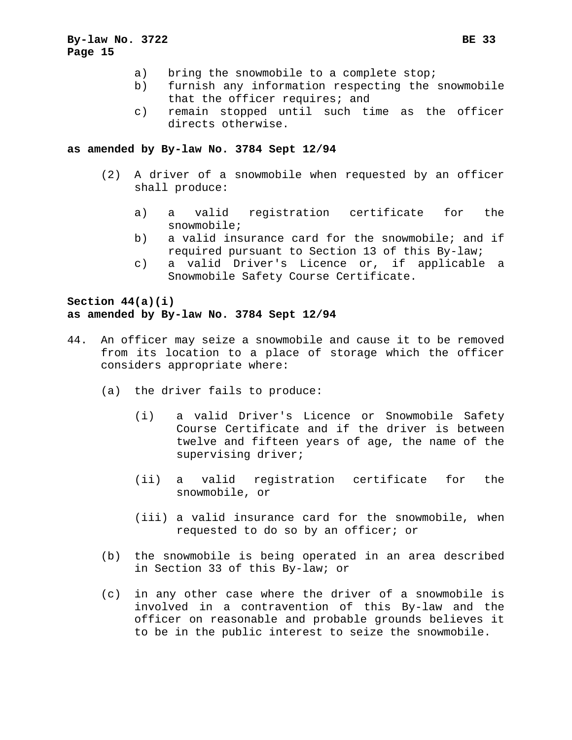- a) bring the snowmobile to a complete stop;
- b) furnish any information respecting the snowmobile that the officer requires; and
- c) remain stopped until such time as the officer directs otherwise.

#### **as amended by By-law No. 3784 Sept 12/94**

- (2) A driver of a snowmobile when requested by an officer shall produce:
	- a) a valid registration certificate for the snowmobile;
	- b) a valid insurance card for the snowmobile; and if required pursuant to Section 13 of this By-law;
	- c) a valid Driver's Licence or, if applicable a Snowmobile Safety Course Certificate.

## **Section 44(a)(i) as amended by By-law No. 3784 Sept 12/94**

- 44. An officer may seize a snowmobile and cause it to be removed from its location to a place of storage which the officer considers appropriate where:
	- (a) the driver fails to produce:
		- (i) a valid Driver's Licence or Snowmobile Safety Course Certificate and if the driver is between twelve and fifteen years of age, the name of the supervising driver;
		- (ii) a valid registration certificate for the snowmobile, or
		- (iii) a valid insurance card for the snowmobile, when requested to do so by an officer; or
	- (b) the snowmobile is being operated in an area described in Section 33 of this By-law; or
	- (c) in any other case where the driver of a snowmobile is involved in a contravention of this By-law and the officer on reasonable and probable grounds believes it to be in the public interest to seize the snowmobile.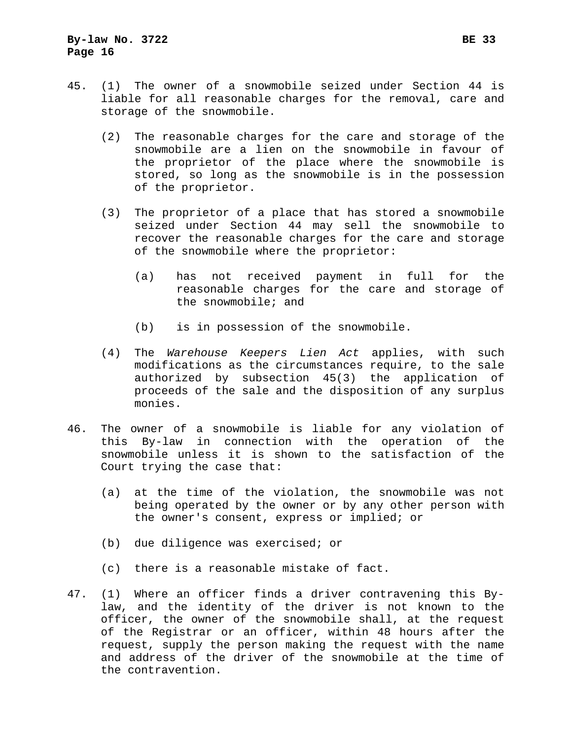- 45. (1) The owner of a snowmobile seized under Section 44 is liable for all reasonable charges for the removal, care and storage of the snowmobile.
	- (2) The reasonable charges for the care and storage of the snowmobile are a lien on the snowmobile in favour of the proprietor of the place where the snowmobile is stored, so long as the snowmobile is in the possession of the proprietor.
	- (3) The proprietor of a place that has stored a snowmobile seized under Section 44 may sell the snowmobile to recover the reasonable charges for the care and storage of the snowmobile where the proprietor:
		- (a) has not received payment in full for the reasonable charges for the care and storage of the snowmobile; and
		- (b) is in possession of the snowmobile.
	- (4) The *Warehouse Keepers Lien Act* applies, with such modifications as the circumstances require, to the sale authorized by subsection 45(3) the application of proceeds of the sale and the disposition of any surplus monies.
- 46. The owner of a snowmobile is liable for any violation of this By-law in connection with the operation of the snowmobile unless it is shown to the satisfaction of the Court trying the case that:
	- (a) at the time of the violation, the snowmobile was not being operated by the owner or by any other person with the owner's consent, express or implied; or
	- (b) due diligence was exercised; or
	- (c) there is a reasonable mistake of fact.
- 47. (1) Where an officer finds a driver contravening this Bylaw, and the identity of the driver is not known to the officer, the owner of the snowmobile shall, at the request of the Registrar or an officer, within 48 hours after the request, supply the person making the request with the name and address of the driver of the snowmobile at the time of the contravention.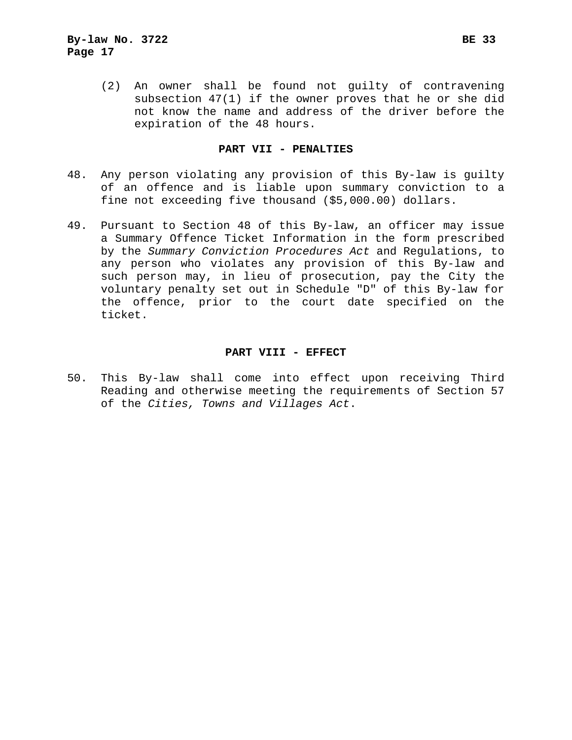(2) An owner shall be found not guilty of contravening subsection 47(1) if the owner proves that he or she did not know the name and address of the driver before the expiration of the 48 hours.

## **PART VII - PENALTIES**

- 48. Any person violating any provision of this By-law is guilty of an offence and is liable upon summary conviction to a fine not exceeding five thousand (\$5,000.00) dollars.
- 49. Pursuant to Section 48 of this By-law, an officer may issue a Summary Offence Ticket Information in the form prescribed by the *Summary Conviction Procedures Act* and Regulations, to any person who violates any provision of this By-law and such person may, in lieu of prosecution, pay the City the voluntary penalty set out in Schedule "D" of this By-law for the offence, prior to the court date specified on the ticket.

#### **PART VIII - EFFECT**

50. This By-law shall come into effect upon receiving Third Reading and otherwise meeting the requirements of Section 57 of the *Cities, Towns and Villages Act*.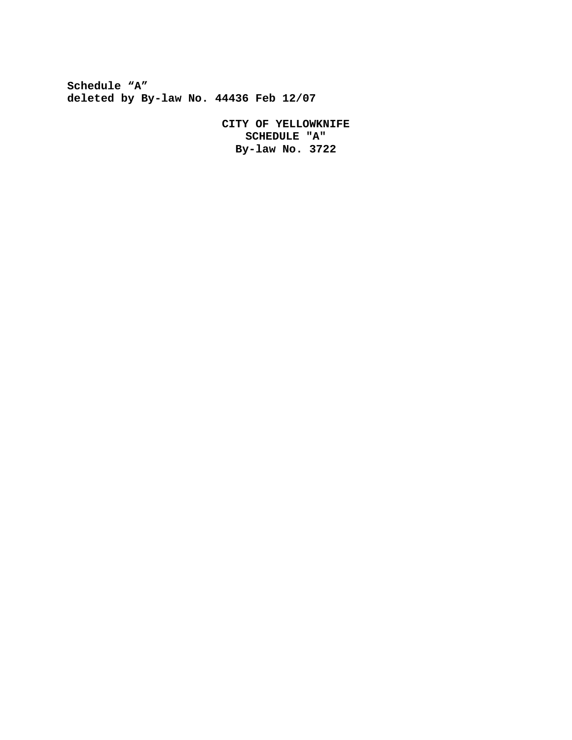**Schedule "A" deleted by By-law No. 44436 Feb 12/07**

> **CITY OF YELLOWKNIFE SCHEDULE "A" By-law No. 3722**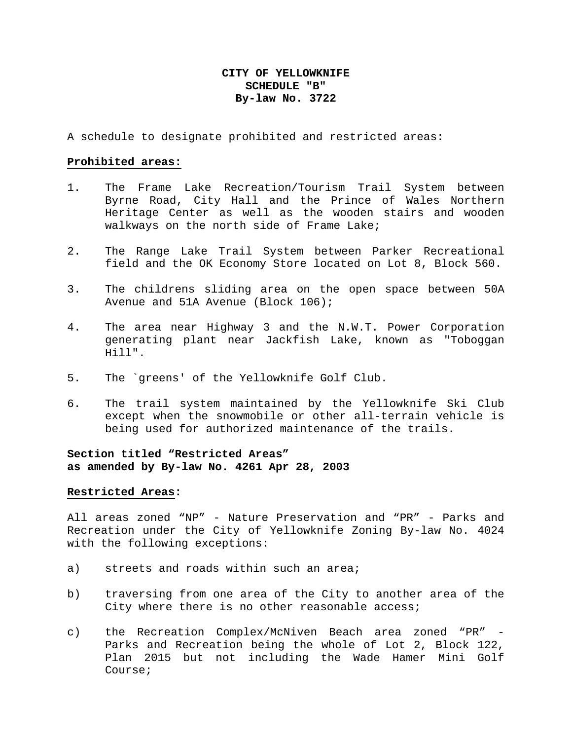# **CITY OF YELLOWKNIFE SCHEDULE "B" By-law No. 3722**

A schedule to designate prohibited and restricted areas:

#### **Prohibited areas:**

- 1. The Frame Lake Recreation/Tourism Trail System between Byrne Road, City Hall and the Prince of Wales Northern Heritage Center as well as the wooden stairs and wooden walkways on the north side of Frame Lake;
- 2. The Range Lake Trail System between Parker Recreational field and the OK Economy Store located on Lot 8, Block 560.
- 3. The childrens sliding area on the open space between 50A Avenue and 51A Avenue (Block 106);
- 4. The area near Highway 3 and the N.W.T. Power Corporation generating plant near Jackfish Lake, known as "Toboggan Hill".
- 5. The `greens' of the Yellowknife Golf Club.
- 6. The trail system maintained by the Yellowknife Ski Club except when the snowmobile or other all-terrain vehicle is being used for authorized maintenance of the trails.

# **Section titled "Restricted Areas" as amended by By-law No. 4261 Apr 28, 2003**

#### **Restricted Areas:**

All areas zoned "NP" - Nature Preservation and "PR" - Parks and Recreation under the City of Yellowknife Zoning By-law No. 4024 with the following exceptions:

- a) streets and roads within such an area;
- b) traversing from one area of the City to another area of the City where there is no other reasonable access;
- c) the Recreation Complex/McNiven Beach area zoned "PR" Parks and Recreation being the whole of Lot 2, Block 122, Plan 2015 but not including the Wade Hamer Mini Golf Course;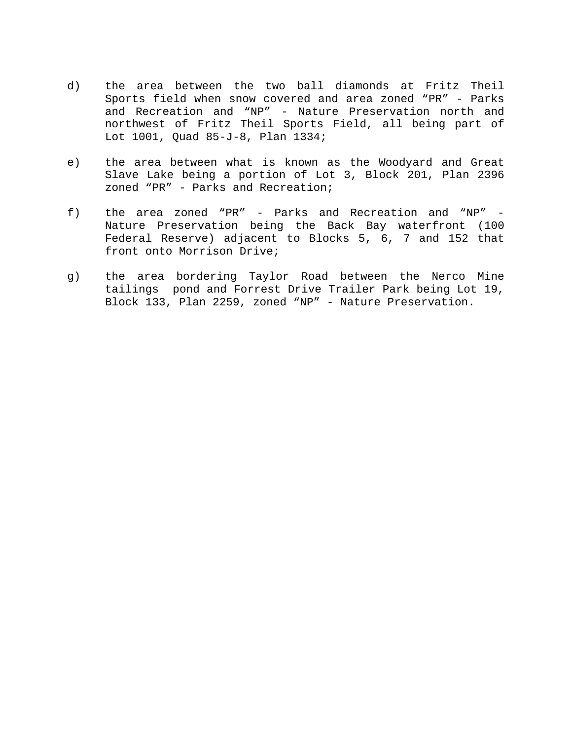- d) the area between the two ball diamonds at Fritz Theil Sports field when snow covered and area zoned "PR" - Parks and Recreation and "NP" - Nature Preservation north and northwest of Fritz Theil Sports Field, all being part of Lot 1001, Quad 85-J-8, Plan 1334;
- e) the area between what is known as the Woodyard and Great Slave Lake being a portion of Lot 3, Block 201, Plan 2396 zoned "PR" - Parks and Recreation;
- f) the area zoned "PR" Parks and Recreation and "NP" Nature Preservation being the Back Bay waterfront (100 Federal Reserve) adjacent to Blocks 5, 6, 7 and 152 that front onto Morrison Drive;
- g) the area bordering Taylor Road between the Nerco Mine tailings pond and Forrest Drive Trailer Park being Lot 19, Block 133, Plan 2259, zoned "NP" - Nature Preservation.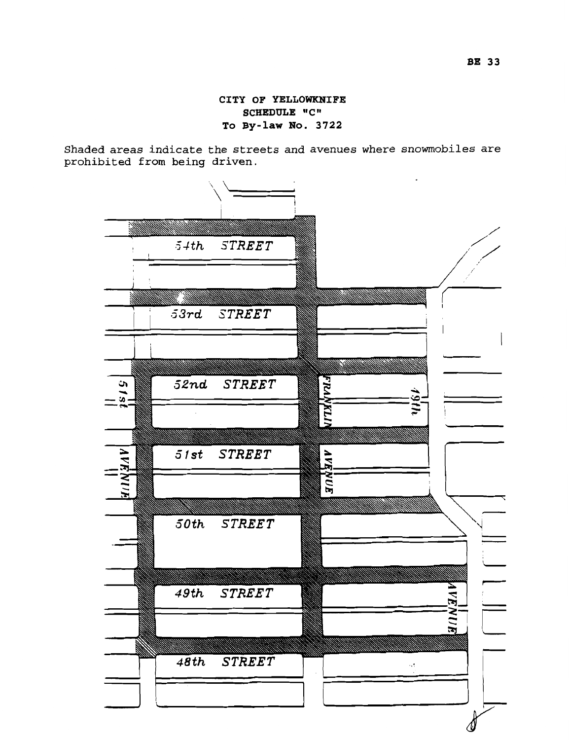**CITY OF YELLOWKNIFE SCHEDULE "C" To By-law No. 3722** 

Shaded areas indicate the streets and avenues where snowmobiles are prohibited from being driven.

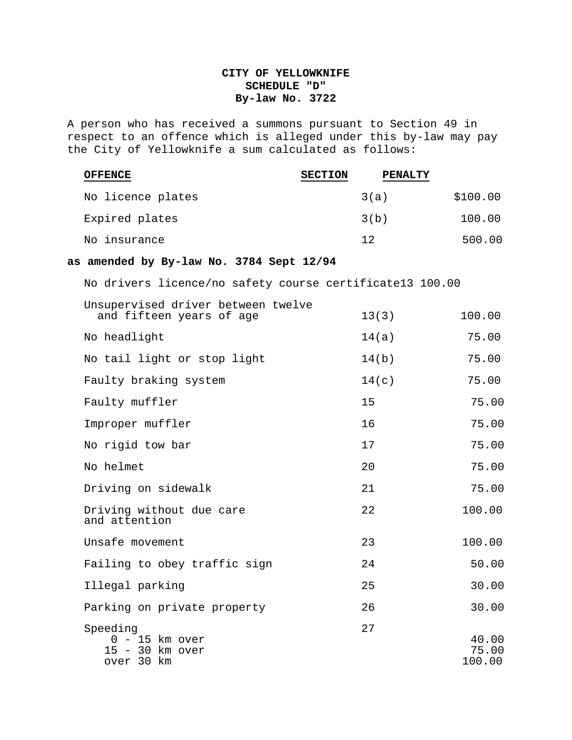# **CITY OF YELLOWKNIFE SCHEDULE "D" By-law No. 3722**

A person who has received a summons pursuant to Section 49 in respect to an offence which is alleged under this by-law may pay the City of Yellowknife a sum calculated as follows:

| <b>OFFENCE</b>                                                 | <b>SECTION</b> | <b>PENALTY</b> |                          |
|----------------------------------------------------------------|----------------|----------------|--------------------------|
| No licence plates                                              |                | 3(a)           | \$100.00                 |
| Expired plates                                                 |                | 3(b)           | 100.00                   |
| No insurance                                                   |                | 12             | 500.00                   |
| as amended by By-law No. 3784 Sept 12/94                       |                |                |                          |
| No drivers licence/no safety course certificate13 100.00       |                |                |                          |
| Unsupervised driver between twelve<br>and fifteen years of age |                | 13(3)          | 100.00                   |
| No headlight                                                   |                | 14(a)          | 75.00                    |
| No tail light or stop light                                    |                | 14(b)          | 75.00                    |
| Faulty braking system                                          |                | 14(c)          | 75.00                    |
| Faulty muffler                                                 |                | 15             | 75.00                    |
| Improper muffler                                               |                | 16             | 75.00                    |
| No rigid tow bar                                               |                | 17             | 75.00                    |
| No helmet                                                      |                | 20             | 75.00                    |
| Driving on sidewalk                                            |                | 21             | 75.00                    |
| Driving without due care<br>and attention                      |                | 22             | 100.00                   |
| Unsafe movement                                                |                | 23             | 100.00                   |
| Failing to obey traffic sign                                   |                | 24             | 50.00                    |
| Illegal parking                                                |                | 25             | 30.00                    |
| Parking on private property                                    |                | 26             | 30.00                    |
| Speeding<br>$0 - 15$ km over<br>15 - 30 km over<br>over 30 km  |                | 27             | 40.00<br>75.00<br>100.00 |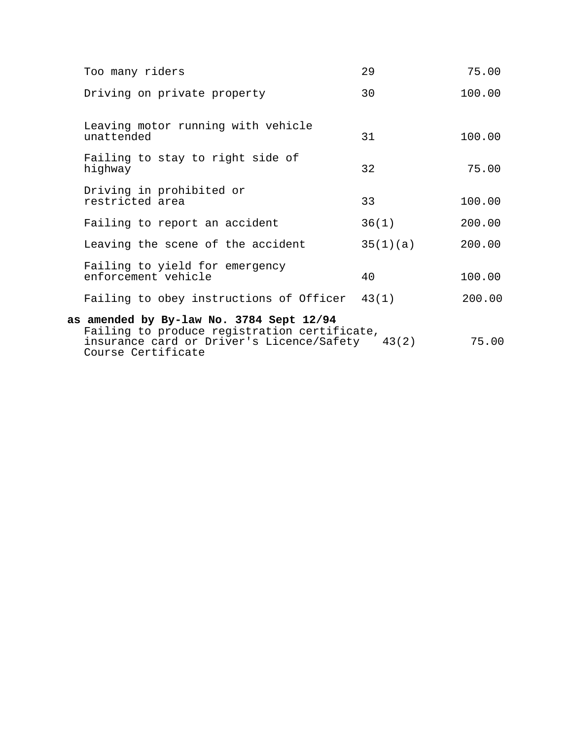| Too many riders                                                                                                                                                   | 29       | 75.00  |
|-------------------------------------------------------------------------------------------------------------------------------------------------------------------|----------|--------|
| Driving on private property                                                                                                                                       | 30       | 100.00 |
| Leaving motor running with vehicle<br>unattended                                                                                                                  | 31       | 100.00 |
| Failing to stay to right side of<br>highway                                                                                                                       | 32       | 75.00  |
| Driving in prohibited or<br>restricted area                                                                                                                       | 33       | 100.00 |
| Failing to report an accident                                                                                                                                     | 36(1)    | 200.00 |
| Leaving the scene of the accident                                                                                                                                 | 35(1)(a) | 200.00 |
| Failing to yield for emergency<br>enforcement vehicle                                                                                                             | 40       | 100.00 |
| Failing to obey instructions of Officer 43(1)                                                                                                                     |          | 200.00 |
| as amended by By-law No. 3784 Sept 12/94<br>Failing to produce registration certificate,<br>insurance card or Driver's Licence/Safety 43(2)<br>Course Certificate |          | 75.00  |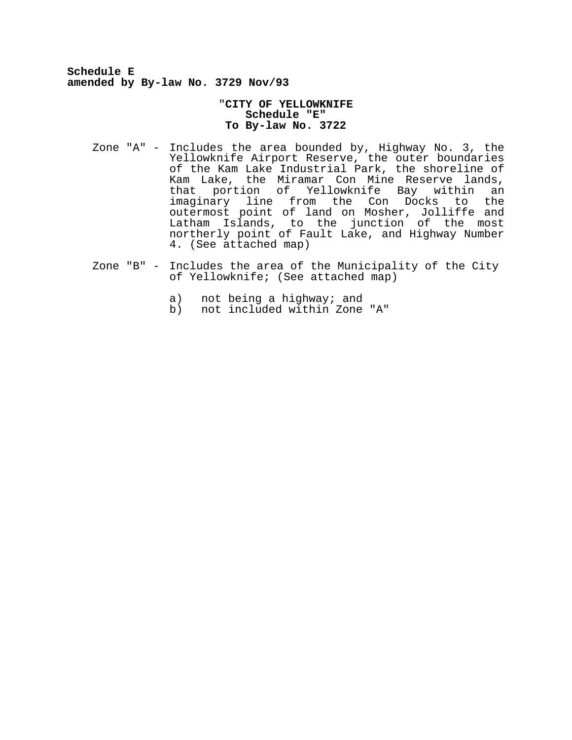**Schedule E amended by By-law No. 3729 Nov/93**

#### "**CITY OF YELLOWKNIFE Schedule "E" To By-law No. 3722**

- Zone "A" Includes the area bounded by, Highway No. 3, the Yellowknife Airport Reserve, the outer boundaries of the Kam Lake Industrial Park, the shoreline of Kam Lake, the Miramar Con Mine Reserve lands, that portion of Yellowknife Bay within an imaginary line from the Con Docks to the outermost point of land on Mosher, Jolliffe and Latham Islands, to the junction of the most northerly point of Fault Lake, and Highway Number 4. (See attached map)
- Zone "B" Includes the area of the Municipality of the City of Yellowknife; (See attached map)
	- a) not being a highway; and<br>b) not included within Zone
	- b) not included within Zone "A"